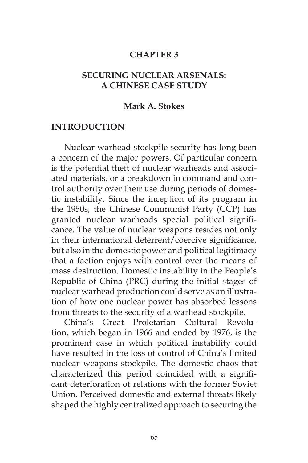#### **CHAPTER 3**

### **SECURING NUCLEAR ARSENALS: A CHINESE CASE STUDY**

#### **Mark A. Stokes**

#### **INTRODUCTION**

Nuclear warhead stockpile security has long been a concern of the major powers. Of particular concern is the potential theft of nuclear warheads and associated materials, or a breakdown in command and control authority over their use during periods of domestic instability. Since the inception of its program in the 1950s, the Chinese Communist Party (CCP) has granted nuclear warheads special political significance. The value of nuclear weapons resides not only in their international deterrent/coercive significance, but also in the domestic power and political legitimacy that a faction enjoys with control over the means of mass destruction. Domestic instability in the People's Republic of China (PRC) during the initial stages of nuclear warhead production could serve as an illustration of how one nuclear power has absorbed lessons from threats to the security of a warhead stockpile.

China's Great Proletarian Cultural Revolution, which began in 1966 and ended by 1976, is the prominent case in which political instability could have resulted in the loss of control of China's limited nuclear weapons stockpile. The domestic chaos that characterized this period coincided with a significant deterioration of relations with the former Soviet Union. Perceived domestic and external threats likely shaped the highly centralized approach to securing the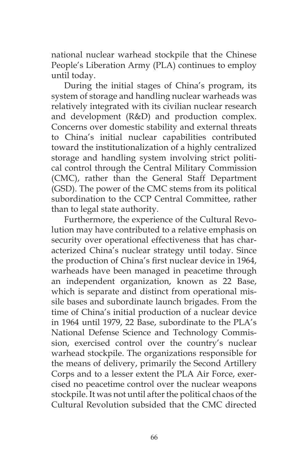national nuclear warhead stockpile that the Chinese People's Liberation Army (PLA) continues to employ until today.

During the initial stages of China's program, its system of storage and handling nuclear warheads was relatively integrated with its civilian nuclear research and development (R&D) and production complex. Concerns over domestic stability and external threats to China's initial nuclear capabilities contributed toward the institutionalization of a highly centralized storage and handling system involving strict political control through the Central Military Commission (CMC), rather than the General Staff Department (GSD). The power of the CMC stems from its political subordination to the CCP Central Committee, rather than to legal state authority.

Furthermore, the experience of the Cultural Revolution may have contributed to a relative emphasis on security over operational effectiveness that has characterized China's nuclear strategy until today. Since the production of China's first nuclear device in 1964, warheads have been managed in peacetime through an independent organization, known as 22 Base, which is separate and distinct from operational missile bases and subordinate launch brigades. From the time of China's initial production of a nuclear device in 1964 until 1979, 22 Base, subordinate to the PLA's National Defense Science and Technology Commission, exercised control over the country's nuclear warhead stockpile. The organizations responsible for the means of delivery, primarily the Second Artillery Corps and to a lesser extent the PLA Air Force, exercised no peacetime control over the nuclear weapons stockpile. It was not until after the political chaos of the Cultural Revolution subsided that the CMC directed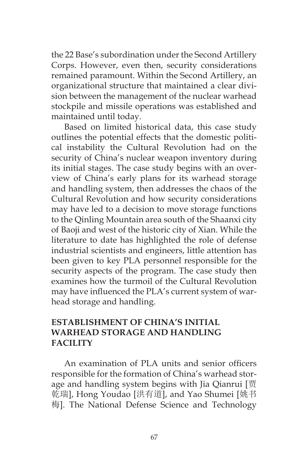the 22 Base's subordination under the Second Artillery Corps. However, even then, security considerations remained paramount. Within the Second Artillery, an organizational structure that maintained a clear division between the management of the nuclear warhead stockpile and missile operations was established and maintained until today.

Based on limited historical data, this case study outlines the potential effects that the domestic political instability the Cultural Revolution had on the security of China's nuclear weapon inventory during its initial stages. The case study begins with an overview of China's early plans for its warhead storage and handling system, then addresses the chaos of the Cultural Revolution and how security considerations may have led to a decision to move storage functions to the Qinling Mountain area south of the Shaanxi city of Baoji and west of the historic city of Xian. While the literature to date has highlighted the role of defense industrial scientists and engineers, little attention has been given to key PLA personnel responsible for the security aspects of the program. The case study then examines how the turmoil of the Cultural Revolution may have influenced the PLA's current system of warhead storage and handling.

## **ESTABLISHMENT OF CHINA'S INITIAL WARHEAD STORAGE AND HANDLING FACILITY**

An examination of PLA units and senior officers responsible for the formation of China's warhead storage and handling system begins with Jia Qianrui [贾 乾瑞], Hong Youdao [洪有道], and Yao Shumei [姚书 梅]. The National Defense Science and Technology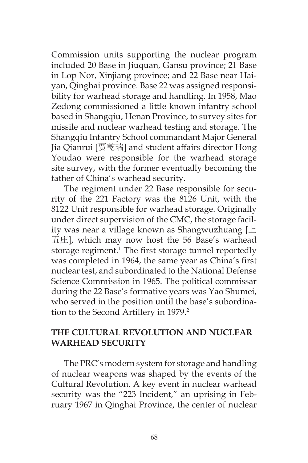Commission units supporting the nuclear program included 20 Base in Jiuquan, Gansu province; 21 Base in Lop Nor, Xinjiang province; and 22 Base near Haiyan, Qinghai province. Base 22 was assigned responsibility for warhead storage and handling. In 1958, Mao Zedong commissioned a little known infantry school based in Shangqiu, Henan Province, to survey sites for missile and nuclear warhead testing and storage. The Shangqiu Infantry School commandant Major General Jia Qianrui [贾乾瑞] and student affairs director Hong Youdao were responsible for the warhead storage site survey, with the former eventually becoming the father of China's warhead security.

The regiment under 22 Base responsible for security of the 221 Factory was the 8126 Unit, with the 8122 Unit responsible for warhead storage. Originally under direct supervision of the CMC, the storage facility was near a village known as Shangwuzhuang [上 五庄], which may now host the 56 Base's warhead storage regiment.<sup>1</sup> The first storage tunnel reportedly was completed in 1964, the same year as China's first nuclear test, and subordinated to the National Defense Science Commission in 1965. The political commissar during the 22 Base's formative years was Yao Shumei, who served in the position until the base's subordination to the Second Artillery in 1979.<sup>2</sup>

## **THE CULTURAL REVOLUTION AND NUCLEAR WARHEAD SECURITY**

The PRC's modern system for storage and handling of nuclear weapons was shaped by the events of the Cultural Revolution. A key event in nuclear warhead security was the "223 Incident," an uprising in February 1967 in Qinghai Province, the center of nuclear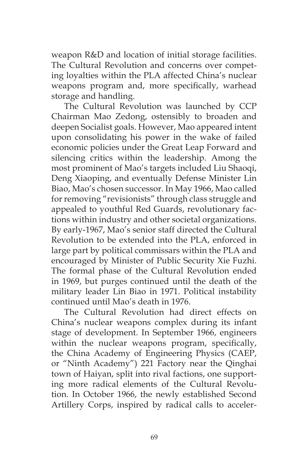weapon R&D and location of initial storage facilities. The Cultural Revolution and concerns over competing loyalties within the PLA affected China's nuclear weapons program and, more specifically, warhead storage and handling.

The Cultural Revolution was launched by CCP Chairman Mao Zedong, ostensibly to broaden and deepen Socialist goals. However, Mao appeared intent upon consolidating his power in the wake of failed economic policies under the Great Leap Forward and silencing critics within the leadership. Among the most prominent of Mao's targets included Liu Shaoqi, Deng Xiaoping, and eventually Defense Minister Lin Biao, Mao's chosen successor. In May 1966, Mao called for removing "revisionists" through class struggle and appealed to youthful Red Guards, revolutionary factions within industry and other societal organizations. By early-1967, Mao's senior staff directed the Cultural Revolution to be extended into the PLA, enforced in large part by political commissars within the PLA and encouraged by Minister of Public Security Xie Fuzhi. The formal phase of the Cultural Revolution ended in 1969, but purges continued until the death of the military leader Lin Biao in 1971. Political instability continued until Mao's death in 1976.

The Cultural Revolution had direct effects on China's nuclear weapons complex during its infant stage of development. In September 1966, engineers within the nuclear weapons program, specifically, the China Academy of Engineering Physics (CAEP, or "Ninth Academy") 221 Factory near the Qinghai town of Haiyan, split into rival factions, one supporting more radical elements of the Cultural Revolution. In October 1966, the newly established Second Artillery Corps, inspired by radical calls to acceler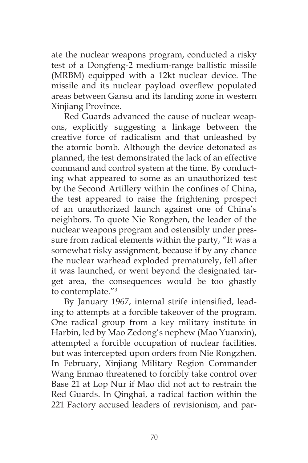ate the nuclear weapons program, conducted a risky test of a Dongfeng-2 medium-range ballistic missile (MRBM) equipped with a 12kt nuclear device. The missile and its nuclear payload overflew populated areas between Gansu and its landing zone in western Xinjiang Province.

Red Guards advanced the cause of nuclear weapons, explicitly suggesting a linkage between the creative force of radicalism and that unleashed by the atomic bomb. Although the device detonated as planned, the test demonstrated the lack of an effective command and control system at the time. By conducting what appeared to some as an unauthorized test by the Second Artillery within the confines of China, the test appeared to raise the frightening prospect of an unauthorized launch against one of China's neighbors. To quote Nie Rongzhen, the leader of the nuclear weapons program and ostensibly under pressure from radical elements within the party, "It was a somewhat risky assignment, because if by any chance the nuclear warhead exploded prematurely, fell after it was launched, or went beyond the designated target area, the consequences would be too ghastly to contemplate."3

By January 1967, internal strife intensified, leading to attempts at a forcible takeover of the program. One radical group from a key military institute in Harbin, led by Mao Zedong's nephew (Mao Yuanxin), attempted a forcible occupation of nuclear facilities, but was intercepted upon orders from Nie Rongzhen. In February, Xinjiang Military Region Commander Wang Enmao threatened to forcibly take control over Base 21 at Lop Nur if Mao did not act to restrain the Red Guards. In Qinghai, a radical faction within the 221 Factory accused leaders of revisionism, and par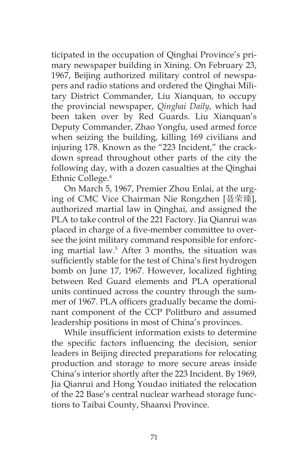ticipated in the occupation of Qinghai Province's primary newspaper building in Xining. On February 23, 1967, Beijing authorized military control of newspapers and radio stations and ordered the Qinghai Military District Commander, Liu Xianquan, to occupy the provincial newspaper, *Qinghai Daily*, which had been taken over by Red Guards. Liu Xianquan's Deputy Commander, Zhao Yongfu, used armed force when seizing the building, killing 169 civilians and injuring 178. Known as the "223 Incident," the crackdown spread throughout other parts of the city the following day, with a dozen casualties at the Qinghai Ethnic College.<sup>4</sup>

On March 5, 1967, Premier Zhou Enlai, at the urging of CMC Vice Chairman Nie Rongzhen [聂荣臻], authorized martial law in Qinghai, and assigned the PLA to take control of the 221 Factory. Jia Qianrui was placed in charge of a five-member committee to oversee the joint military command responsible for enforcing martial law.5 After 3 months, the situation was sufficiently stable for the test of China's first hydrogen bomb on June 17, 1967. However, localized fighting between Red Guard elements and PLA operational units continued across the country through the summer of 1967. PLA officers gradually became the dominant component of the CCP Politburo and assumed leadership positions in most of China's provinces.

While insufficient information exists to determine the specific factors influencing the decision, senior leaders in Beijing directed preparations for relocating production and storage to more secure areas inside China's interior shortly after the 223 Incident. By 1969, Jia Qianrui and Hong Youdao initiated the relocation of the 22 Base's central nuclear warhead storage functions to Taibai County, Shaanxi Province.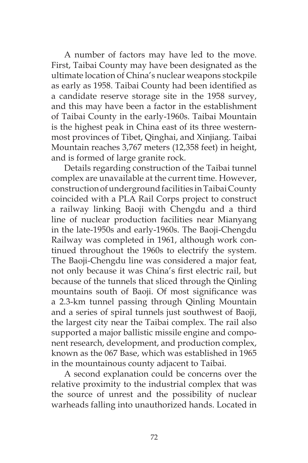A number of factors may have led to the move. First, Taibai County may have been designated as the ultimate location of China's nuclear weapons stockpile as early as 1958. Taibai County had been identified as a candidate reserve storage site in the 1958 survey, and this may have been a factor in the establishment of Taibai County in the early-1960s. Taibai Mountain is the highest peak in China east of its three westernmost provinces of Tibet, Qinghai, and Xinjiang. Taibai Mountain reaches 3,767 meters (12,358 feet) in height, and is formed of large granite rock.

Details regarding construction of the Taibai tunnel complex are unavailable at the current time. However, construction of underground facilities in Taibai County coincided with a PLA Rail Corps project to construct a railway linking Baoji with Chengdu and a third line of nuclear production facilities near Mianyang in the late-1950s and early-1960s. The Baoji-Chengdu Railway was completed in 1961, although work continued throughout the 1960s to electrify the system. The Baoji-Chengdu line was considered a major feat, not only because it was China's first electric rail, but because of the tunnels that sliced through the Qinling mountains south of Baoji. Of most significance was a 2.3-km tunnel passing through Qinling Mountain and a series of spiral tunnels just southwest of Baoji, the largest city near the Taibai complex. The rail also supported a major ballistic missile engine and component research, development, and production complex, known as the 067 Base, which was established in 1965 in the mountainous county adjacent to Taibai.

A second explanation could be concerns over the relative proximity to the industrial complex that was the source of unrest and the possibility of nuclear warheads falling into unauthorized hands. Located in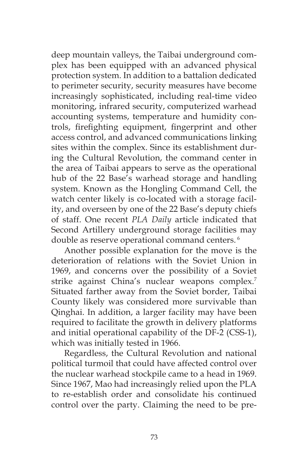deep mountain valleys, the Taibai underground complex has been equipped with an advanced physical protection system. In addition to a battalion dedicated to perimeter security, security measures have become increasingly sophisticated, including real-time video monitoring, infrared security, computerized warhead accounting systems, temperature and humidity controls, firefighting equipment, fingerprint and other access control, and advanced communications linking sites within the complex. Since its establishment during the Cultural Revolution, the command center in the area of Taibai appears to serve as the operational hub of the 22 Base's warhead storage and handling system. Known as the Hongling Command Cell, the watch center likely is co-located with a storage facility, and overseen by one of the 22 Base's deputy chiefs of staff. One recent *PLA Daily* article indicated that Second Artillery underground storage facilities may double as reserve operational command centers.<sup>6</sup>

Another possible explanation for the move is the deterioration of relations with the Soviet Union in 1969, and concerns over the possibility of a Soviet strike against China's nuclear weapons complex.<sup>7</sup> Situated farther away from the Soviet border, Taibai County likely was considered more survivable than Qinghai. In addition, a larger facility may have been required to facilitate the growth in delivery platforms and initial operational capability of the DF-2 (CSS-1), which was initially tested in 1966.

Regardless, the Cultural Revolution and national political turmoil that could have affected control over the nuclear warhead stockpile came to a head in 1969. Since 1967, Mao had increasingly relied upon the PLA to re-establish order and consolidate his continued control over the party. Claiming the need to be pre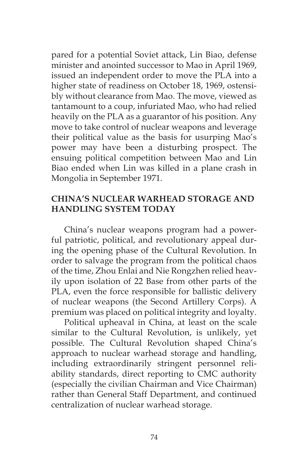pared for a potential Soviet attack, Lin Biao, defense minister and anointed successor to Mao in April 1969, issued an independent order to move the PLA into a higher state of readiness on October 18, 1969, ostensibly without clearance from Mao. The move, viewed as tantamount to a coup, infuriated Mao, who had relied heavily on the PLA as a guarantor of his position. Any move to take control of nuclear weapons and leverage their political value as the basis for usurping Mao's power may have been a disturbing prospect. The ensuing political competition between Mao and Lin Biao ended when Lin was killed in a plane crash in Mongolia in September 1971.

# **CHINA'S NUCLEAR WARHEAD STORAGE AND HANDLING SYSTEM TODAY**

China's nuclear weapons program had a powerful patriotic, political, and revolutionary appeal during the opening phase of the Cultural Revolution. In order to salvage the program from the political chaos of the time, Zhou Enlai and Nie Rongzhen relied heavily upon isolation of 22 Base from other parts of the PLA, even the force responsible for ballistic delivery of nuclear weapons (the Second Artillery Corps). A premium was placed on political integrity and loyalty.

Political upheaval in China, at least on the scale similar to the Cultural Revolution, is unlikely, yet possible. The Cultural Revolution shaped China's approach to nuclear warhead storage and handling, including extraordinarily stringent personnel reliability standards, direct reporting to CMC authority (especially the civilian Chairman and Vice Chairman) rather than General Staff Department, and continued centralization of nuclear warhead storage.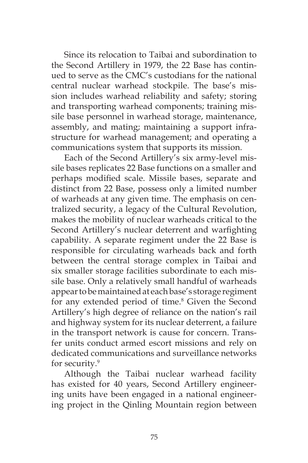Since its relocation to Taibai and subordination to the Second Artillery in 1979, the 22 Base has continued to serve as the CMC's custodians for the national central nuclear warhead stockpile. The base's mission includes warhead reliability and safety; storing and transporting warhead components; training missile base personnel in warhead storage, maintenance, assembly, and mating; maintaining a support infrastructure for warhead management; and operating a communications system that supports its mission.

Each of the Second Artillery's six army-level missile bases replicates 22 Base functions on a smaller and perhaps modified scale. Missile bases, separate and distinct from 22 Base, possess only a limited number of warheads at any given time. The emphasis on centralized security, a legacy of the Cultural Revolution, makes the mobility of nuclear warheads critical to the Second Artillery's nuclear deterrent and warfighting capability. A separate regiment under the 22 Base is responsible for circulating warheads back and forth between the central storage complex in Taibai and six smaller storage facilities subordinate to each missile base. Only a relatively small handful of warheads appear to be maintained at each base's storage regiment for any extended period of time.<sup>8</sup> Given the Second Artillery's high degree of reliance on the nation's rail and highway system for its nuclear deterrent, a failure in the transport network is cause for concern. Transfer units conduct armed escort missions and rely on dedicated communications and surveillance networks for security.<sup>9</sup>

Although the Taibai nuclear warhead facility has existed for 40 years, Second Artillery engineering units have been engaged in a national engineering project in the Qinling Mountain region between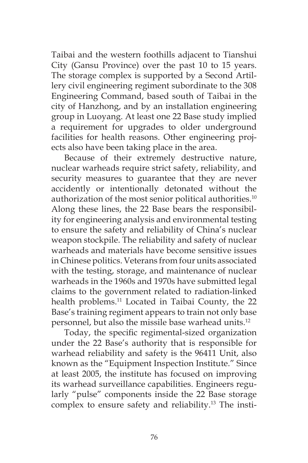Taibai and the western foothills adjacent to Tianshui City (Gansu Province) over the past 10 to 15 years. The storage complex is supported by a Second Artillery civil engineering regiment subordinate to the 308 Engineering Command, based south of Taibai in the city of Hanzhong, and by an installation engineering group in Luoyang. At least one 22 Base study implied a requirement for upgrades to older underground facilities for health reasons. Other engineering projects also have been taking place in the area.

Because of their extremely destructive nature, nuclear warheads require strict safety, reliability, and security measures to guarantee that they are never accidently or intentionally detonated without the authorization of the most senior political authorities.<sup>10</sup> Along these lines, the 22 Base bears the responsibility for engineering analysis and environmental testing to ensure the safety and reliability of China's nuclear weapon stockpile. The reliability and safety of nuclear warheads and materials have become sensitive issues in Chinese politics. Veterans from four units associated with the testing, storage, and maintenance of nuclear warheads in the 1960s and 1970s have submitted legal claims to the government related to radiation-linked health problems.<sup>11</sup> Located in Taibai County, the 22 Base's training regiment appears to train not only base personnel, but also the missile base warhead units.<sup>12</sup>

Today, the specific regimental-sized organization under the 22 Base's authority that is responsible for warhead reliability and safety is the 96411 Unit, also known as the "Equipment Inspection Institute." Since at least 2005, the institute has focused on improving its warhead surveillance capabilities. Engineers regularly "pulse" components inside the 22 Base storage complex to ensure safety and reliability.13 The insti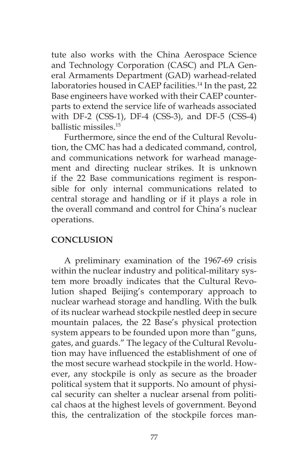tute also works with the China Aerospace Science and Technology Corporation (CASC) and PLA General Armaments Department (GAD) warhead-related laboratories housed in CAEP facilities.<sup>14</sup> In the past, 22 Base engineers have worked with their CAEP counterparts to extend the service life of warheads associated with DF-2 (CSS-1), DF-4 (CSS-3), and DF-5 (CSS-4) ballistic missiles<sup>15</sup>

Furthermore, since the end of the Cultural Revolution, the CMC has had a dedicated command, control, and communications network for warhead management and directing nuclear strikes. It is unknown if the 22 Base communications regiment is responsible for only internal communications related to central storage and handling or if it plays a role in the overall command and control for China's nuclear operations.

# **CONCLUSION**

A preliminary examination of the 1967-69 crisis within the nuclear industry and political-military system more broadly indicates that the Cultural Revolution shaped Beijing's contemporary approach to nuclear warhead storage and handling. With the bulk of its nuclear warhead stockpile nestled deep in secure mountain palaces, the 22 Base's physical protection system appears to be founded upon more than "guns, gates, and guards." The legacy of the Cultural Revolution may have influenced the establishment of one of the most secure warhead stockpile in the world. However, any stockpile is only as secure as the broader political system that it supports. No amount of physical security can shelter a nuclear arsenal from political chaos at the highest levels of government. Beyond this, the centralization of the stockpile forces man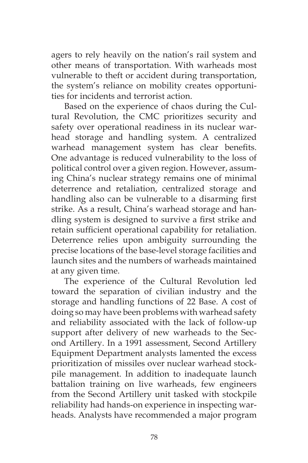agers to rely heavily on the nation's rail system and other means of transportation. With warheads most vulnerable to theft or accident during transportation, the system's reliance on mobility creates opportunities for incidents and terrorist action.

Based on the experience of chaos during the Cultural Revolution, the CMC prioritizes security and safety over operational readiness in its nuclear warhead storage and handling system. A centralized warhead management system has clear benefits. One advantage is reduced vulnerability to the loss of political control over a given region. However, assuming China's nuclear strategy remains one of minimal deterrence and retaliation, centralized storage and handling also can be vulnerable to a disarming first strike. As a result, China's warhead storage and handling system is designed to survive a first strike and retain sufficient operational capability for retaliation. Deterrence relies upon ambiguity surrounding the precise locations of the base-level storage facilities and launch sites and the numbers of warheads maintained at any given time.

The experience of the Cultural Revolution led toward the separation of civilian industry and the storage and handling functions of 22 Base. A cost of doing so may have been problems with warhead safety and reliability associated with the lack of follow-up support after delivery of new warheads to the Second Artillery. In a 1991 assessment, Second Artillery Equipment Department analysts lamented the excess prioritization of missiles over nuclear warhead stockpile management. In addition to inadequate launch battalion training on live warheads, few engineers from the Second Artillery unit tasked with stockpile reliability had hands-on experience in inspecting warheads. Analysts have recommended a major program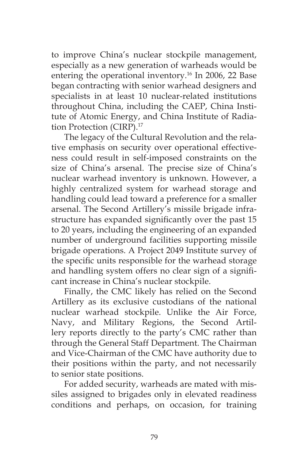to improve China's nuclear stockpile management, especially as a new generation of warheads would be entering the operational inventory.<sup>16</sup> In 2006, 22 Base began contracting with senior warhead designers and specialists in at least 10 nuclear-related institutions throughout China, including the CAEP, China Institute of Atomic Energy, and China Institute of Radiation Protection (CIRP).<sup>17</sup>

The legacy of the Cultural Revolution and the relative emphasis on security over operational effectiveness could result in self-imposed constraints on the size of China's arsenal. The precise size of China's nuclear warhead inventory is unknown. However, a highly centralized system for warhead storage and handling could lead toward a preference for a smaller arsenal. The Second Artillery's missile brigade infrastructure has expanded significantly over the past 15 to 20 years, including the engineering of an expanded number of underground facilities supporting missile brigade operations. A Project 2049 Institute survey of the specific units responsible for the warhead storage and handling system offers no clear sign of a significant increase in China's nuclear stockpile.

Finally, the CMC likely has relied on the Second Artillery as its exclusive custodians of the national nuclear warhead stockpile. Unlike the Air Force, Navy, and Military Regions, the Second Artillery reports directly to the party's CMC rather than through the General Staff Department. The Chairman and Vice-Chairman of the CMC have authority due to their positions within the party, and not necessarily to senior state positions.

For added security, warheads are mated with missiles assigned to brigades only in elevated readiness conditions and perhaps, on occasion, for training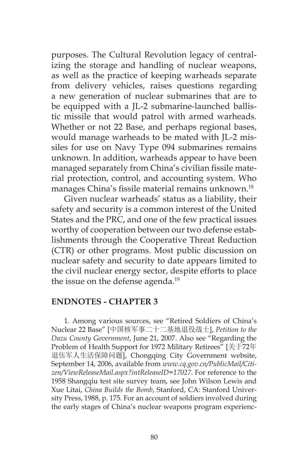purposes. The Cultural Revolution legacy of centralizing the storage and handling of nuclear weapons, as well as the practice of keeping warheads separate from delivery vehicles, raises questions regarding a new generation of nuclear submarines that are to be equipped with a JL-2 submarine-launched ballistic missile that would patrol with armed warheads. Whether or not 22 Base, and perhaps regional bases, would manage warheads to be mated with JL-2 missiles for use on Navy Type 094 submarines remains unknown. In addition, warheads appear to have been managed separately from China's civilian fissile material protection, control, and accounting system. Who manages China's fissile material remains unknown.<sup>18</sup>

Given nuclear warheads' status as a liability, their safety and security is a common interest of the United States and the PRC, and one of the few practical issues worthy of cooperation between our two defense establishments through the Cooperative Threat Reduction (CTR) or other programs. Most public discussion on nuclear safety and security to date appears limited to the civil nuclear energy sector, despite efforts to place the issue on the defense agenda.<sup>19</sup>

#### **ENDNOTES - CHAPTER 3**

1. Among various sources, see "Retired Soldiers of China's Nuclear 22 Base" [中国核军事二十二基地退役战士], *Petition to the Dazu County Government*, June 21, 2007. Also see "Regarding the Problem of Health Support for 1972 Military Retirees" [关于72年 退伍军人生活保障问题], Chongqing City Government website, September 14, 2006, available from *www.cq.gov.cn/PublicMail/Citizen/ViewReleaseMail.aspx?intReleaseID=17027*. For reference to the 1958 Shangqiu test site survey team, see John Wilson Lewis and Xue Litai, *China Builds the Bomb*, Stanford, CA: Stanford University Press, 1988, p. 175. For an account of soldiers involved during the early stages of China's nuclear weapons program experienc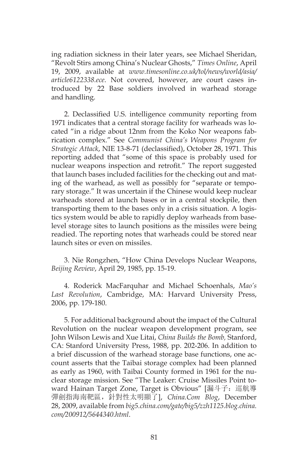ing radiation sickness in their later years, see Michael Sheridan, "Revolt Stirs among China's Nuclear Ghosts," *Times Online*, April 19, 2009, available at *www.timesonline.co.uk/tol/news/world/asia/ article6122338.ece*. Not covered, however, are court cases introduced by 22 Base soldiers involved in warhead storage and handling.

2. Declassified U.S. intelligence community reporting from 1971 indicates that a central storage facility for warheads was located "in a ridge about 12nm from the Koko Nor weapons fabrication complex." See *Communist China's Weapons Program for Strategic Attack*, NIE 13-8-71 (declassified), October 28, 1971. This reporting added that "some of this space is probably used for nuclear weapons inspection and retrofit." The report suggested that launch bases included facilities for the checking out and mating of the warhead, as well as possibly for "separate or temporary storage." It was uncertain if the Chinese would keep nuclear warheads stored at launch bases or in a central stockpile, then transporting them to the bases only in a crisis situation. A logistics system would be able to rapidly deploy warheads from baselevel storage sites to launch positions as the missiles were being readied. The reporting notes that warheads could be stored near launch sites or even on missiles.

3. Nie Rongzhen, "How China Develops Nuclear Weapons, *Beijing Review*, April 29, 1985, pp. 15-19.

4. Roderick MacFarquhar and Michael Schoenhals, *Mao's Last Revolution*, Cambridge, MA: Harvard University Press, 2006, pp. 179-180.

5. For additional background about the impact of the Cultural Revolution on the nuclear weapon development program, see John Wilson Lewis and Xue Litai, *China Builds the Bomb,* Stanford, CA: Stanford University Press, 1988, pp. 202-206. In addition to a brief discussion of the warhead storage base functions, one account asserts that the Taibai storage complex had been planned as early as 1960, with Taibai County formed in 1961 for the nuclear storage mission. See "The Leaker: Cruise Missiles Point toward Hainan Target Zone, Target is Obvious" [漏斗子:巡航導 彈劍指海南靶區,針對性太明顯了], *China.Com Blog*, December 28, 2009, available from *big5.china.com/gate/big5/zzh1125.blog.china. com/200912/5644340.html*.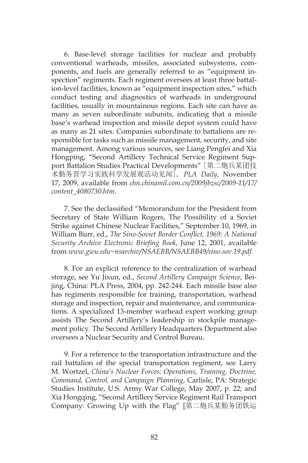6. Base-level storage facilities for nuclear and probably conventional warheads, missiles, associated subsystems, components, and fuels are generally referred to as "equipment inspection" regiments. Each regiment oversees at least three battalion-level facilities, known as "equipment inspection sites," which conduct testing and diagnostics of warheads in underground facilities, usually in mountainous regions. Each site can have as many as seven subordinate subunits, indicating that a missile base's warhead inspection and missile depot system could have as many as 21 sites. Companies subordinate to battalions are responsible for tasks such as missile management, security, and site management. Among various sources, see Liang Pengfei and Xia Hongping, "Second Artillery Technical Service Regiment Support Battalion Studies Practical Developments" [第二炮兵某团技 术勤务营学习实践科学发展观活动见闻], *PLA Daily*, November 17, 2009, available from *chn.chinamil.com.cn/2009jbzsc/2009-11/17/ content\_4080730.htm*.

7. See the declassified "Memorandum for the President from Secretary of State William Rogers, The Possibility of a Soviet Strike against Chinese Nuclear Facilities," September 10, 1969, in William Burr, ed., *The Sino-Soviet Border Conflict, 1969: A National Security Archive Electronic Briefing Book*, June 12, 2001, available from *www.gwu.edu~nsarchiv/NSAEBB/NSAEBB49/sino.sov.19.pdf.*

8. For an explicit reference to the centralization of warhead storage, see Yu Jixun, ed., *Second Artillery Campaign Science*, Beijing, China: PLA Press, 2004, pp. 242-244. Each missile base also has regiments responsible for training, transportation, warhead storage and inspection, repair and maintenance, and communications. A specialized 13-member warhead expert working group assists The Second Artillery's leadership in stockpile management policy. The Second Artillery Headquarters Department also oversees a Nuclear Security and Control Bureau.

9. For a reference to the transportation infrastructure and the rail battalion of the special transportation regiment, see Larry M. Wortzel, *China's Nuclear Forces: Operations, Training, Doctrine, Command, Control, and Campaign Planning*, Carlisle, PA: Strategic Studies Institute, U.S. Army War College, May 2007, p. 22; and Xia Hongqing, "Second Artillery Service Regiment Rail Transport Company: Growing Up with the Flag" [第二炮兵某勤务团铁运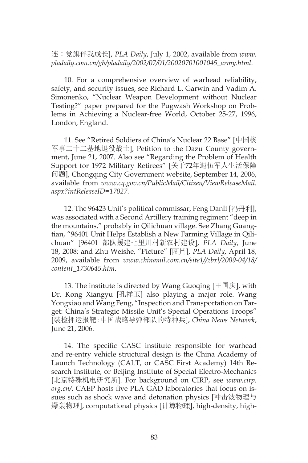连:党旗伴我成长], *PLA Daily*, July 1, 2002, available from *www. pladaily.com.cn/gb/pladaily/2002/07/01/20020701001045\_army.html*.

10. For a comprehensive overview of warhead reliability, safety, and security issues, see Richard L. Garwin and Vadim A. Simonenko, "Nuclear Weapon Development without Nuclear Testing?" paper prepared for the Pugwash Workshop on Problems in Achieving a Nuclear-free World, October 25-27, 1996, London, England.

11. See "Retired Soldiers of China's Nuclear 22 Base" [中国核 军事二十二基地退役战士], Petition to the Dazu County government, June 21, 2007. Also see "Regarding the Problem of Health Support for 1972 Military Retirees" [关于72年退伍军人生活保障 问题], Chongqing City Government website, September 14, 2006, available from *www.cq.gov.cn/PublicMail/Citizen/ViewReleaseMail. aspx?intReleaseID=17027*.

12. The 96423 Unit's political commissar, Feng Danli [冯丹利], was associated with a Second Artillery training regiment "deep in the mountains," probably in Qilichuan village. See Zhang Guangtian, "96401 Unit Helps Establish a New Farming Village in Qilichuan" [96401 部队援建七里川村新农村建设], *PLA Daily*, June 18, 2008; and Zhu Weishe, "Picture" [图片], *PLA Daily*, April 18, 2009, available from *www.chinamil.com.cn/site1//zbxl/2009-04/18/ content\_1730645.htm*.

13. The institute is directed by Wang Guoqing  $[E \mathbb{B} \ddot{\mathcal{F}}]$ , with Dr. Kong Xiangyu [孔祥玉] also playing a major role. Wang Yongxiao and Wang Feng, "Inspection and Transportation on Target: China's Strategic Missile Unit's Special Operations Troops" [装检押运报靶:中国战略导弹部队的特种兵], *China News Network*, June 21, 2006.

14. The specific CASC institute responsible for warhead and re-entry vehicle structural design is the China Academy of Launch Technology (CALT, or CASC First Academy) 14th Research Institute, or Beijing Institute of Special Electro-Mechanics [北京特殊机电研究所]. For background on CIRP, see *www.cirp. org.cn/*. CAEP hosts five PLA GAD laboratories that focus on issues such as shock wave and detonation physics [冲击波物理与 爆轰物理], computational physics [计算物理], high-density, high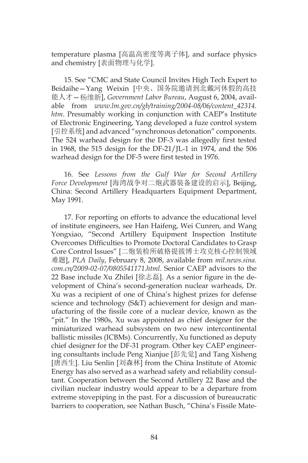temperature plasma [高温高密度等离子体], and surface physics and chemistry [表面物理与化学].

15. See "CMC and State Council Invites High Tech Expert to Beidaihe—Yang Weixin [中央、国务院邀请到北戴河休假的高技 能人才—杨维新], *Government Labor Bureau*, August 6, 2004, available from *www.lm.gov.cn/gb/training/2004-08/06/content\_42314. htm*. Presumably working in conjunction with CAEP's Institute of Electronic Engineering, Yang developed a fuze control system [引控系统] and advanced "synchronous detonation" components. The 524 warhead design for the DF-3 was allegedly first tested in 1968, the 515 design for the DF-21/JL-1 in 1974, and the 506 warhead design for the DF-5 were first tested in 1976.

16. See *Lessons from the Gulf War for Second Artillery Force Development* [海湾战争对二炮武器装备建设的启示], Beijing, China: Second Artillery Headquarters Equipment Department, May 1991.

17. For reporting on efforts to advance the educational level of institute engineers, see Han Haifeng, Wei Cunren, and Wang Yongxiao, "Second Artillery Equipment Inspection Institute Overcomes Difficulties to Promote Doctoral Candidates to Grasp Core Control Issues" [二炮装检所破格提拔博士攻克核心控制领域 难题], *PLA Daily*, February 8, 2008, available from *mil.news.sina. com.cn/2009-02-07/0805541171.html*. Senior CAEP advisors to the 22 Base include Xu Zhilei [徐志磊]. As a senior figure in the development of China's second-generation nuclear warheads, Dr. Xu was a recipient of one of China's highest prizes for defense science and technology (S&T) achievement for design and manufacturing of the fissile core of a nuclear device, known as the "pit." In the 1980s, Xu was appointed as chief designer for the miniaturized warhead subsystem on two new intercontinental ballistic missiles (ICBMs). Concurrently, Xu functioned as deputy chief designer for the DF-31 program. Other key CAEP engineering consultants include Peng Xianjue [彭先觉] and Tang Xisheng [唐西生]. Liu Senlin [刘森林] from the China Institute of Atomic Energy has also served as a warhead safety and reliability consultant. Cooperation between the Second Artillery 22 Base and the civilian nuclear industry would appear to be a departure from extreme stovepiping in the past. For a discussion of bureaucratic barriers to cooperation, see Nathan Busch, "China's Fissile Mate